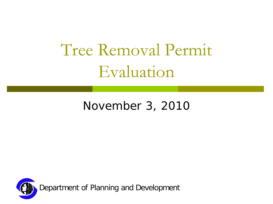## Tree Removal Permit Evaluation

#### November 3, 2010

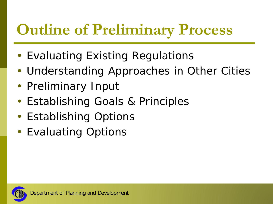## **Outline of Preliminary Process**

- Evaluating Existing Regulations
- Understanding Approaches in Other Cities
- Preliminary Input
- Establishing Goals & Principles
- Establishing Options
- Evaluating Options

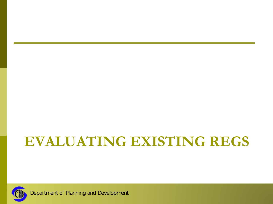#### **EVALUATING EXISTING REGS**



Department of Planning and Development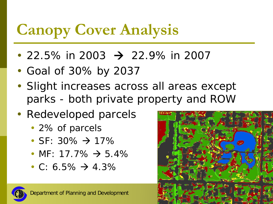## **Canopy Cover Analysis**

- 22.5% in 2003  $\rightarrow$  22.9% in 2007
- Goal of 30% by 2037
- Slight increases across all areas except parks - both private property and ROW
- Redeveloped parcels
	- 2% of parcels
	- SF: 30%  $\rightarrow$  17%
	- MF: 17.7%  $\rightarrow$  5.4%
	- C: 6.5%  $\rightarrow$  4.3%



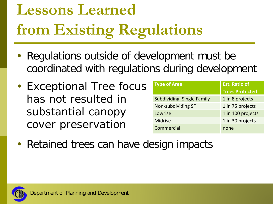# **Lessons Learned from Existing Regulations**

- Regulations outside of development must be coordinated with regulations during development
- Exceptional Tree focus has not resulted in substantial canopy cover preservation

| <b>Type of Area</b>              | <b>Est. Ratio of</b>   |  |
|----------------------------------|------------------------|--|
|                                  | <b>Trees Protected</b> |  |
| <b>Subdividing Single Family</b> | 1 in 8 projects        |  |
| Non-subdividing SF               | 1 in 75 projects       |  |
| Lowrise                          | 1 in 100 projects      |  |
| <b>Midrise</b>                   | 1 in 30 projects       |  |
| Commercial                       | none                   |  |

• Retained trees can have design impacts

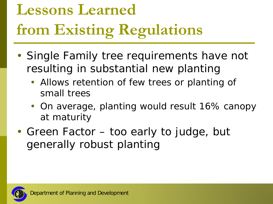# **Lessons Learned from Existing Regulations**

- Single Family tree requirements have not resulting in substantial new planting
	- Allows retention of few trees or planting of small trees
	- On average, planting would result 16% canopy at maturity
- Green Factor too early to judge, but generally robust planting

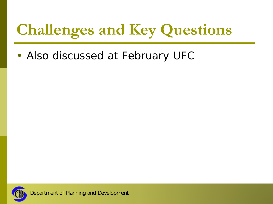## **Challenges and Key Questions**

• Also discussed at February UFC

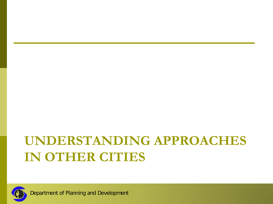#### **UNDERSTANDING APPROACHES IN OTHER CITIES**



Department of Planning and Development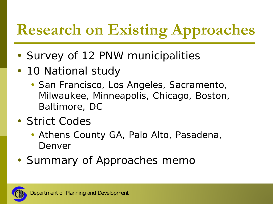## **Research on Existing Approaches**

- Survey of 12 PNW municipalities
- 10 National study
	- San Francisco, Los Angeles, Sacramento, Milwaukee, Minneapolis, Chicago, Boston, Baltimore, DC
- Strict Codes
	- Athens County GA, Palo Alto, Pasadena, Denver
- Summary of Approaches memo

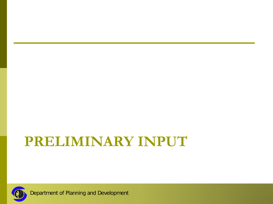#### **PRELIMINARY INPUT**



Department of Planning and Development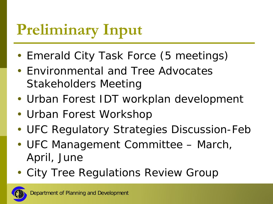## **Preliminary Input**

- Emerald City Task Force (5 meetings)
- Environmental and Tree Advocates Stakeholders Meeting
- Urban Forest IDT workplan development
- Urban Forest Workshop
- UFC Regulatory Strategies Discussion-Feb
- UFC Management Committee March, April, June
- City Tree Regulations Review Group

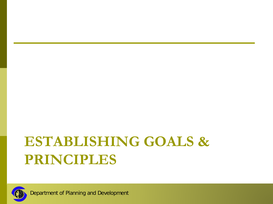#### **ESTABLISHING GOALS & PRINCIPLES**



Department of Planning and Development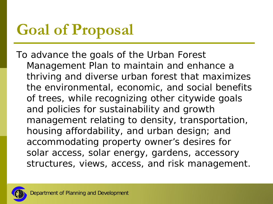## **Goal of Proposal**

*To advance the goals of the Urban Forest Management Plan to maintain and enhance a thriving and diverse urban forest that maximizes the environmental, economic, and social benefits of trees, while recognizing other citywide goals and policies for sustainability and growth management relating to density, transportation, housing affordability, and urban design; and accommodating property owner's desires for solar access, solar energy, gardens, accessory structures, views, access, and risk management.*

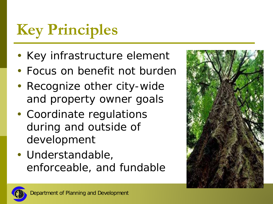## **Key Principles**

- Key infrastructure element
- Focus on benefit not burden
- Recognize other city-wide and property owner goals
- Coordinate regulations during and outside of development
- Understandable, enforceable, and fundable



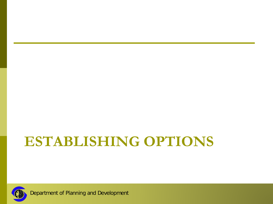#### **ESTABLISHING OPTIONS**



Department of Planning and Development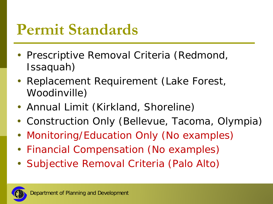#### **Permit Standards**

- Prescriptive Removal Criteria (Redmond, Issaquah)
- Replacement Requirement (Lake Forest, Woodinville)
- Annual Limit (Kirkland, Shoreline)
- Construction Only (Bellevue, Tacoma, Olympia)
- Monitoring/Education Only (No examples)
- Financial Compensation (No examples)
- Subjective Removal Criteria (Palo Alto)

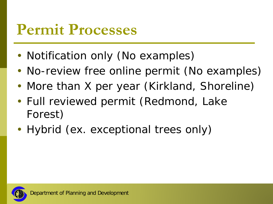#### **Permit Processes**

- Notification only (No examples)
- No-review free online permit (No examples)
- More than X per year (Kirkland, Shoreline)
- Full reviewed permit (Redmond, Lake Forest)
- Hybrid (ex. exceptional trees only)

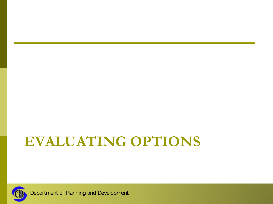#### **EVALUATING OPTIONS**



Department of Planning and Development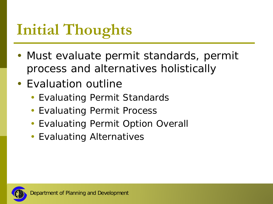## **Initial Thoughts**

- Must evaluate permit standards, permit process and alternatives holistically
- Evaluation outline
	- Evaluating Permit Standards
	- Evaluating Permit Process
	- Evaluating Permit Option Overall
	- Evaluating Alternatives

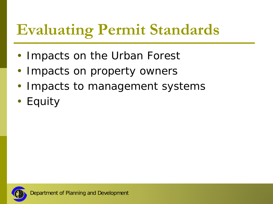## **Evaluating Permit Standards**

- Impacts on the Urban Forest
- Impacts on property owners
- Impacts to management systems
- Equity

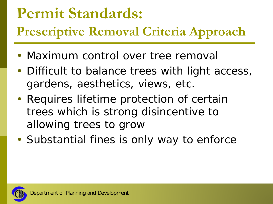#### **Permit Standards:**

**Prescriptive Removal Criteria Approach**

- Maximum control over tree removal
- Difficult to balance trees with light access, gardens, aesthetics, views, etc.
- Requires lifetime protection of certain trees which is strong disincentive to allowing trees to grow
- Substantial fines is only way to enforce

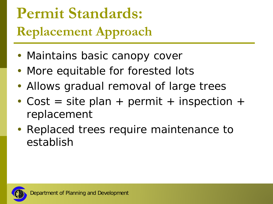## **Permit Standards: Replacement Approach**

- Maintains basic canopy cover
- More equitable for forested lots
- Allows gradual removal of large trees
- Cost = site plan + permit + inspection + replacement
- Replaced trees require maintenance to establish

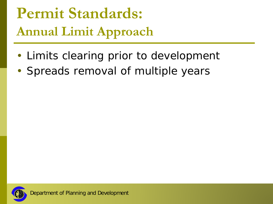#### **Permit Standards: Annual Limit Approach**

- Limits clearing prior to development
- Spreads removal of multiple years

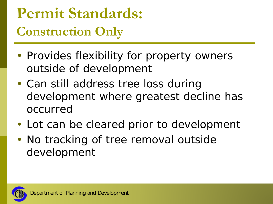#### **Permit Standards: Construction Only**

- Provides flexibility for property owners outside of development
- Can still address tree loss during development where greatest decline has occurred
- Lot can be cleared prior to development
- No tracking of tree removal outside development

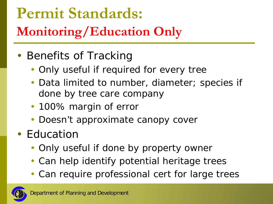## **Permit Standards: Monitoring/Education Only**

#### • Benefits of Tracking

- Only useful if required for every tree
- Data limited to number, diameter; species if done by tree care company
- 100% margin of error
- Doesn't approximate canopy cover
- Education
	- Only useful if done by property owner
	- Can help identify potential heritage trees
	- Can require professional cert for large trees

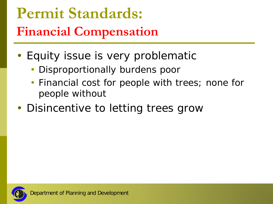### **Permit Standards: Financial Compensation**

- Equity issue is very problematic
	- Disproportionally burdens poor
	- Financial cost for people with trees; none for people without
- Disincentive to letting trees grow

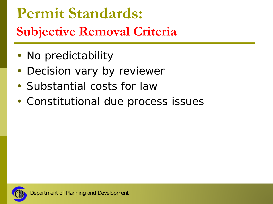## **Permit Standards: Subjective Removal Criteria**

- No predictability
- Decision vary by reviewer
- Substantial costs for law
- Constitutional due process issues

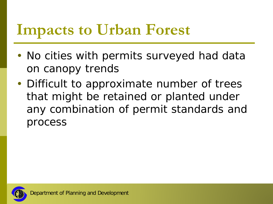#### **Impacts to Urban Forest**

- No cities with permits surveyed had data on canopy trends
- Difficult to approximate number of trees that might be retained or planted under any combination of permit standards and process

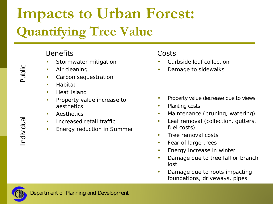### **Impacts to Urban Forest: Quantifying Tree Value**

#### **Benefits** Stormwater mitigation • Air cleaning • Carbon sequestration • Habitat • Heat Island • Property value increase to aesthetics • Aesthetics • Increased retail traffic • Energy reduction in Summer Costs • Curbside leaf collection • Damage to sidewalks • Property value decrease due to views • Planting costs • Maintenance (pruning, watering) • Leaf removal (collection, gutters, fuel costs) • Tree removal costs • Fear of large trees • Energy increase in winter • Damage due to tree fall or branch lost

• Damage due to roots impacting foundations, driveways, pipes



Public

Individual Public Individual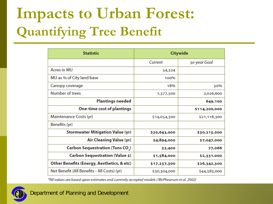## **Impacts to Urban Forest: Quantifying Tree Benefit**

| <b>Statistic</b>                            | Citywide     |               |
|---------------------------------------------|--------------|---------------|
|                                             | Current      | 30-year Goal  |
| <b>Acres in MU</b>                          | 54,324       |               |
| MU as % of City land base                   | 100%         |               |
| Canopy coverage                             | 18%          | 30%           |
| Number of trees                             | 1,377,500    | 2,026,600     |
| <b>Plantings needed</b>                     |              | 649,100       |
| <b>One-time cost of plantings</b>           |              | \$114,200,000 |
| Maintenance Costs (yr)                      | \$14,054,300 | \$21,116,300  |
| Benefits (yr)                               |              |               |
| <b>Stormwater Mitigation Value (yr)</b>     | \$20,643,000 | \$30,215,000  |
| Air Cleaning Value (yr)                     | \$4,894,000  | \$7,047,000   |
| Carbon Sequestration (Tons CO.)             | 52,400       | 77,066        |
| Carbon Sequestration (Value \$)             | \$1,584,000  | \$2,331,000   |
| Other Benefits (Energy, Aesthetics, & etc)  | \$17,237,300 | \$26,342,300  |
| Net Benefit (All Benefits - All Costs) (yr) | \$30,304,000 | \$44,585,000  |

\*All values are based upon estimates and currently accepted models (McPhearson et al. 2002)

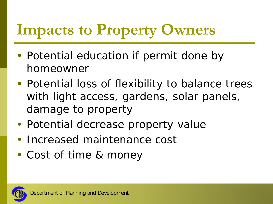## **Impacts to Property Owners**

- Potential education if permit done by homeowner
- Potential loss of flexibility to balance trees with light access, gardens, solar panels, damage to property
- Potential decrease property value
- Increased maintenance cost
- Cost of time & money

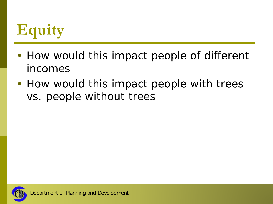## **Equity**

- How would this impact people of different incomes
- How would this impact people with trees vs. people without trees

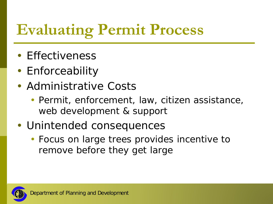## **Evaluating Permit Process**

- Effectiveness
- Enforceability
- Administrative Costs
	- Permit, enforcement, law, citizen assistance, web development & support
- Unintended consequences
	- Focus on large trees provides incentive to remove before they get large

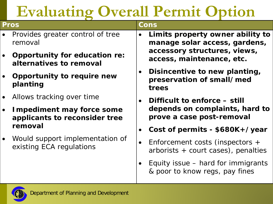## **Evaluating Overall Permit Option**

| Pros      |                                                                                                                                             | Cons |                                                                           |  |
|-----------|---------------------------------------------------------------------------------------------------------------------------------------------|------|---------------------------------------------------------------------------|--|
|           | Provides greater control of tree<br>removal                                                                                                 |      | Limits property owner ability to<br>manage solar access, gardens,         |  |
| $\bullet$ | <b>Opportunity for education re:</b><br>alternatives to removal                                                                             |      | accessory structures, views,<br>access, maintenance, etc.                 |  |
| $\bullet$ | <b>Opportunity to require new</b><br>planting                                                                                               |      | Disincentive to new planting,<br>preservation of small/med<br>trees       |  |
| $\bullet$ | Allows tracking over time                                                                                                                   |      | Difficult to enforce – still                                              |  |
| $\bullet$ | <b>Impediment may force some</b><br>applicants to reconsider tree<br>removal<br>Would support implementation of<br>existing ECA regulations |      | depends on complaints, hard to<br>prove a case post-removal               |  |
|           |                                                                                                                                             |      | Cost of permits - \$680K+/year                                            |  |
| $\bullet$ |                                                                                                                                             |      | Enforcement costs (inspectors +<br>$arborists + court cases)$ , penalties |  |
|           |                                                                                                                                             |      | Equity issue – hard for immigrants<br>& poor to know regs, pay fines      |  |
|           |                                                                                                                                             |      |                                                                           |  |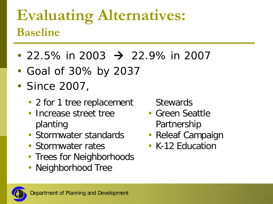#### **Evaluating Alternatives: Baseline**

- 22.5% in 2003  $\rightarrow$  22.9% in 2007
- Goal of 30% by 2037
- Since 2007,
	- 2 for 1 tree replacement
	- Increase street tree planting
	- Stormwater standards
	- Stormwater rates
	- Trees for Neighborhoods
	- Neighborhood Tree

**Stewards** 

- Green Seattle Partnership
- Releaf Campaign
- K-12 Fducation

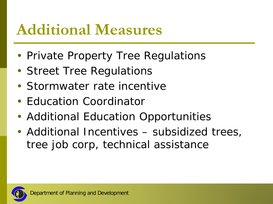#### **Additional Measures**

- Private Property Tree Regulations
- Street Tree Regulations
- Stormwater rate incentive
- Education Coordinator
- Additional Education Opportunities
- Additional Incentives subsidized trees, tree job corp, technical assistance